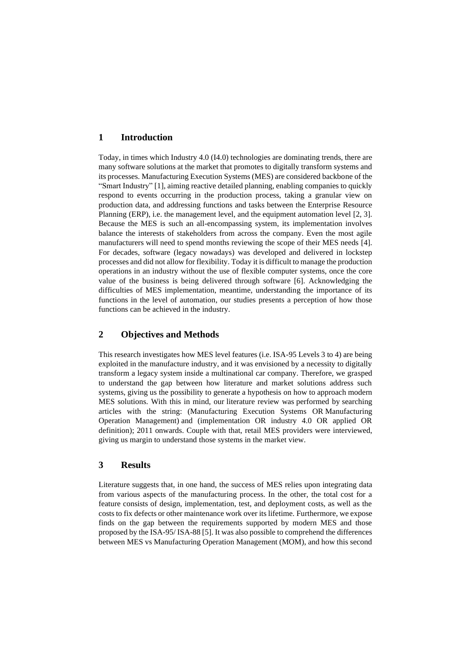## **1 Introduction**

Today, in times which Industry 4.0 (I4.0) technologies are dominating trends, there are many software solutions at the market that promotes to digitally transform systems and its processes. Manufacturing Execution Systems (MES) are considered backbone of the "Smart Industry" [1], aiming reactive detailed planning, enabling companies to quickly respond to events occurring in the production process, taking a granular view on production data, and addressing functions and tasks between the Enterprise Resource Planning (ERP), i.e. the management level, and the equipment automation level [2, 3]. Because the MES is such an all-encompassing system, its implementation involves balance the interests of stakeholders from across the company. Even the most agile manufacturers will need to spend months reviewing the scope of their MES needs [4]. For decades, software (legacy nowadays) was developed and delivered in lockstep processes and did not allow for flexibility. Today it is difficult to manage the production operations in an industry without the use of flexible computer systems, once the core value of the business is being delivered through software [6]. Acknowledging the difficulties of MES implementation, meantime, understanding the importance of its functions in the level of automation, our studies presents a perception of how those functions can be achieved in the industry.

# **2 Objectives and Methods**

This research investigates how MES level features (i.e. ISA-95 Levels 3 to 4) are being exploited in the manufacture industry, and it was envisioned by a necessity to digitally transform a legacy system inside a multinational car company. Therefore, we grasped to understand the gap between how literature and market solutions address such systems, giving us the possibility to generate a hypothesis on how to approach modern MES solutions. With this in mind, our literature review was performed by searching articles with the string: (Manufacturing Execution Systems OR Manufacturing Operation Management) and (implementation OR industry 4.0 OR applied OR definition); 2011 onwards. Couple with that, retail MES providers were interviewed, giving us margin to understand those systems in the market view.

## **3 Results**

Literature suggests that, in one hand, the success of MES relies upon integrating data from various aspects of the manufacturing process. In the other, the total cost for a feature consists of design, implementation, test, and deployment costs, as well as the costs to fix defects or other maintenance work over its lifetime. Furthermore, we expose finds on the gap between the requirements supported by modern MES and those proposed by the ISA-95/ ISA-88 [5]. It was also possible to comprehend the differences between MES vs Manufacturing Operation Management (MOM), and how this second